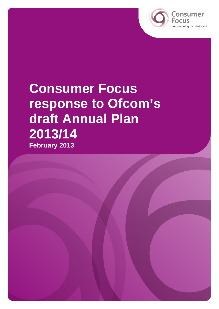

Consumer Campaigning for a fair deal

# **Consumer Focus response to Ofcom's draft Annual Plan 2013/14 February 2013**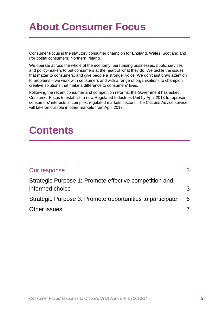## **About Consumer Focus**

Consumer Focus is the statutory consumer champion for England, Wales, Scotland and (for postal consumers) Northern Ireland.

We operate across the whole of the economy, persuading businesses, public services and policy-makers to put consumers at the heart of what they do. We tackle the issues that matter to consumers, and give people a stronger voice. We don't just draw attention to problems – we work with consumers and with a range of organisations to champion creative solutions that make a difference to consumers' lives.

Following the recent consumer and competition reforms, the Government has asked Consumer Focus to establish a new Regulated Industries Unit by April 2013 to represent consumers' interests in complex, regulated markets sectors. The Citizens Advice service will take on our role in other markets from April 2013.

## **Contents**

| Our response                                              | 3 |
|-----------------------------------------------------------|---|
| Strategic Purpose 1: Promote effective competition and    |   |
| informed choice                                           | 3 |
| Strategic Purpose 3: Promote opportunities to participate | 6 |
| Other issues                                              |   |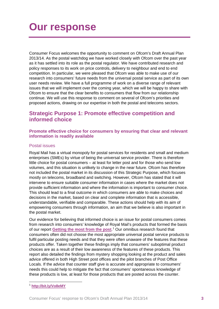<span id="page-2-0"></span>Consumer Focus welcomes the opportunity to comment on Ofcom's Draft Annual Plan 2013/14. As the postal watchdog we have worked closely with Ofcom over the past year as it has settled into its role as the postal regulator. We have contributed research and policy responses to its work on price controls, delivery to neighbour and end to end competition. In particular, we were pleased that Ofcom was able to make use of our research into consumers' future needs from the universal postal service as part of its own user needs review. We have a full programme of work on a diverse range of relevant issues that we will implement over the coming year, which we will be happy to share with Ofcom to ensure that the clear benefits to consumers that flow from our relationship continue. We will use this response to comment on several of Ofcom's priorities and proposed actions, drawing on our expertise in both the postal and telecoms sectors.

### <span id="page-2-1"></span>**Strategic Purpose 1: Promote effective competition and informed choice**

#### **Promote effective choice for consumers by ensuring that clear and relevant information is readily available**

#### Postal issues

Royal Mail has a virtual monopoly for postal services for residents and small and medium enterprises (SMEs) by virtue of being the universal service provider. There is therefore little choice for postal consumers – at least for letter post and for those who send low volumes, and this situation is unlikely to change in the near future. Ofcom has therefore not included the postal market in its discussion of this Strategic Purpose, which focuses mostly on telecoms, broadband and switching. However, Ofcom has stated that it will intervene to ensure suitable consumer information in cases where the market does not provide sufficient information and where the information is important to consumer choice. This should lead to a final outcome in which consumers are able to make choices and decisions in the market, based on clear and complete information that is accessible, understandable, verifiable and comparable. These actions should help with its aim of empowering consumers through information, an aim that we believe is also important in the postal market.

Our evidence for believing that informed choice is an issue for postal consumers comes from research into consumers' knowledge of Royal Mail's products that formed the basis of our report **[Getting the most from the post](http://www.consumerfocus.org.uk/publications/getting-the-most-from-the-post-consumers-knowledge-of-royal-mails-products)**. [1](#page-2-2) Our omnibus research found that consumers often did not choose the most appropriate universal postal service products to fulfil particular posting needs and that they were often unaware of the features that these products offer. Taken together these findings imply that consumers' suboptimal product choices are as a result of their low awareness of the features of these products. This report also detailed the findings from mystery shopping looking at the product and sales advice offered in both High Street post offices and the pilot branches of Post Office Locals. If the advice that counter staff give is accurate and appropriate to consumers' needs this could help to mitigate the fact that consumers' spontaneous knowledge of these products is low, at least for those products that are posted across the counter.

<span id="page-2-2"></span><sup>1</sup> **<http://bit.ly/Vo8eMY>**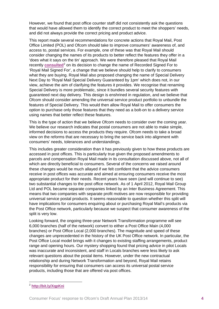However, we found that post office counter staff did not consistently ask the questions that would have allowed them to identify the correct product to meet the shoppers' needs, and did not always provide the correct pricing and product advice.

This report made several recommendations for concrete actions that Royal Mail, Post Office Limited (POL) and Ofcom should take to improve consumers' awareness of, and access to, postal services. For example, one of these was that Royal Mail should consider changing the names of its products to better reflect the features they offer in a 'does what it says on the tin' approach. We were therefore pleased that Royal Mail recently **[consulted](http://www.royalmailgroup.com/regulation/consultations)**<sup>[2](#page-3-0)</sup> on its decision to change the name of Recorded Signed For to 'Royal Mail Signed For', a change that we believe should help to clarify to consumers what they are buying. Royal Mail also proposed changing the name of Special Delivery Next Day to 'Royal Mail Special Delivery Guaranteed by 1pm' which does not, in our view, achieve the aim of clarifying the features it provides. We recognise that renaming Special Delivery is more problematic, since it bundles several security features with guaranteed next day delivery. This design is enshrined in regulation, and we believe that Ofcom should consider amending the universal service product portfolio to unbundle the features of Special Delivery. This would then allow Royal Mail to offer consumers the option to purchase only those features that they need as a bolt-on to a delivery service using names that better reflect these features.

This is the type of action that we believe Ofcom needs to consider over the coming year. We believe our research indicates that postal consumers are not able to make simple, informed decisions to access the products they require. Ofcom needs to take a broad view on the reforms that are necessary to bring the service back into alignment with consumers' needs, tolerances and understandings.

This includes greater consideration than it has previously given to how these products are accessed in post offices. This is particularly true given the proposed amendments to parcels and compensation Royal Mail made in its consultation discussed above, not all of which are directly beneficial to consumers. Several of the concerns we raised around these changes would be much allayed if we felt confident that the advice consumers receive in post offices was accurate and aimed at ensuring consumers receive the most appropriate product for their needs. Recent years have seen (and will continue to see) two substantial changes to the post office network. As of 1 April 2012, Royal Mail Group Ltd and POL became separate companies linked by an Inter Business Agreement. This means that two companies with separate profit motives are now responsible for providing universal service postal products. It seems reasonable to question whether this split will have implications for consumers enquiring about or purchasing Royal Mail's products via the Post Office network, particularly because we suspect that consumer awareness of the split is very low.

Looking forward, the ongoing three-year Network Transformation programme will see 6,000 branches (half of the network) convert to either a Post Office Main (4,000 branches) or Post Office Local (2,000 branches). The magnitude and speed of these changes are unprecedented in the history of the UK Post Office network. In particular, the Post Office Local model brings with it changes to existing staffing arrangements, product range and opening hours. Our mystery shopping found that pricing advice in pilot Locals was inaccurate and inconsistent, and staff in Locals branches were less likely to ask relevant questions about the postal items. However, under the new contractual relationship and during Network Transformation and beyond, Royal Mail retains responsibility for ensuring that consumers can access its universal postal service products, including those that are offered via post offices.

<span id="page-3-0"></span><sup>2</sup> **<http://bit.ly/XqpKni>**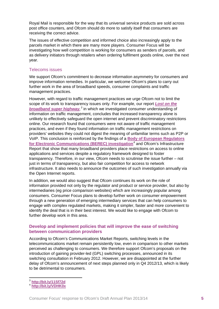Royal Mail is responsible for the way that its universal service products are sold across post office counters, and Ofcom should do more to satisfy itself that consumers are receiving the correct advice.

The issues of effective competition and informed choice also increasingly apply to the parcels market in which there are many more players. Consumer Focus will be investigating how well competition is working for consumers as senders of parcels, and as delivery initiators through retailers when ordering fulfilment goods online, over the next year.

#### Telecoms issues

We support Ofcom's commitment to decrease information asymmetry for consumers and improve information remedies. In particular, we welcome Ofcom's plans to carry out further work in the area of broadband speeds, consumer complaints and traffic management practices.

However, with regard to traffic management practices we urge Ofcom not to limit the scope of its work to transparency issues only. For example, our report *[Lost on the](http://www.consumerfocus.org.uk/?p=26279)  [broadband super highway](http://www.consumerfocus.org.uk/?p=26279), [3](#page-4-0)* in which we investigated consumer understanding of information on traffic management, concludes that increased transparency alone is unlikely to effectively safeguard the open internet and prevent discriminatory restrictions online. Our research found that consumers were not aware of traffic management practices, and even if they found information on traffic management restrictions on providers' websites they could not digest the meaning of unfamiliar terms such as P2P or VoIP. This conclusion is reinforced by the findings of a **[Body of European Regulators](http://ec.europa.eu/digital-agenda/sites/digital-agenda/files/Traffic%20Management%20Investigation%20BEREC_2.pdf)  [for Electronic Communications \(BEREC\) investigation](http://ec.europa.eu/digital-agenda/sites/digital-agenda/files/Traffic%20Management%20Investigation%20BEREC_2.pdf)**[4](#page-4-1) and Ofcom's Infrastructure Report that show that many broadband providers place restrictions on access to online applications and services despite a regulatory framework designed to foster transparency. Therefore, in our view, Ofcom needs to scrutinise the issue further – not just in terms of transparency, but also fair competition for access to network infrastructure. It also needs to announce the outcomes of such investigation annually via the Open Internet reports.

In addition, we would also suggest that Ofcom continues its work on the role of information provided not only by the regulator and product or service provider, but also by intermediaries (eg price comparison websites) which are increasingly popular among consumers. Consumer Focus plans to develop further work on consumer empowerment through a new generation of emerging intermediary services that can help consumers to engage with complex regulated markets, making it simpler, faster and more convenient to identify the deal that is in their best interest. We would like to engage with Ofcom to further develop work in this area.

#### **Develop and implement policies that will improve the ease of switching between communication providers**

According to Ofcom's Communications Market Reports, switching levels in the telecommunications market remain persistently low, even in comparison to other markets perceived as challenging to consumers. We therefore support Ofcom's proposals on the introduction of gaining provider-led (GPL) switching processes, announced in its switching consultation in February 2012. However, we are disappointed at the further delay of Ofcom's announcement of next steps planned only in Q4 2012/13, which is likely to be detrimental to consumers.

<span id="page-4-0"></span><sup>3</sup> **<http://bit.ly/11Sf72d>**

<span id="page-4-1"></span><sup>4</sup> **<http://bit.ly/VDHK0x>**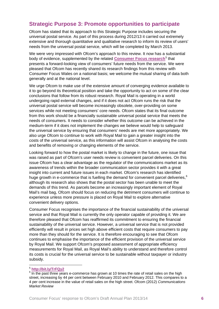## <span id="page-5-0"></span>**Strategic Purpose 3: Promote opportunities to participate**

Ofcom has stated that its approach to this Strategic Purpose includes securing the universal postal service. As part of this process during 2012/13 it carried out extremely extensive and thorough quantitative and qualitative research to inform its review of users' needs from the universal postal service, which will be completed by March 2013.

We were very impressed with Ofcom's approach to this review. It now has a substantial body of evidence, supplemented by the related **[Consumer Focus research](http://www.consumerfocus.org.uk/publications/sense-and-sustainability-a-report-on-the-universal-postal-service)**<sup>[5](#page-5-1)</sup> that presents a forward-looking view of consumers' future needs from the service. We were pleased that Ofcom has recently shared its research findings from this review with Consumer Focus Wales on a national basis; we welcome the mutual sharing of data both generally and at the national level.

We urge Ofcom to make use of the extensive amount of converging evidence available to it to go beyond its theoretical position and take the opportunity to act on some of the clear conclusions that follow from its robust research. Royal Mail is operating in a world undergoing rapid external changes, and if it does not act Ofcom runs the risk that the universal postal service will become increasingly obsolete, over-providing on some services while not meeting consumers' core needs. Ofcom states that its final outcome from this work should be a financially sustainable universal postal service that meets the needs of consumers. It needs to consider whether this outcome can be achieved in the medium-term if it does not implement the changes we believe would help to safeguard the universal service by ensuring that consumers' needs are met more appropriately. We also urge Ofcom to continue to work with Royal Mail to gain a greater insight into the costs of the universal service, as this information will assist Ofcom in analysing the costs and benefits of removing or changing elements of the service.

Looking forward to how the postal market is likely to change in the future, one issue that was raised as part of Ofcom's user needs review is convenient parcel deliveries. On this issue Ofcom has a clear advantage as the regulator of the communications market as its awareness of trends within the broader communication sector provides it with a great insight into current and future issues in each market. Ofcom's research has identified huge growth in e-commerce that is fuelling the demand for convenient parcel deliveries,  $6$ although its research also shows that the postal sector has been unable to meet the demands of this trend. As parcels become an increasingly important element of Royal Mail's mail bag, Ofcom should focus on reducing the detriment consumers will continue to experience unless more pressure is placed on Royal Mail to explore alternative convenient delivery options.

Consumer Focus recognises the importance of the financial sustainability of the universal service and that Royal Mail is currently the only operator capable of providing it. We are therefore pleased that Ofcom has reaffirmed its commitment to ensuring the financial sustainability of the universal service. However, a universal service that is not provided efficiently will result in prices set high above efficient costs that require consumers to pay more than they should for the service. It is therefore encouraging to see that Ofcom continues to emphasise the importance of the efficient provision of the universal service by Royal Mail. We support Ofcom's proposed assessment of appropriate efficiency measurements for Royal Mail, as Royal Mail's ability to understand and therefore control its costs is crucial for the universal service to be sustainable without taxpayer or industry subsidy.

<span id="page-5-1"></span><sup>5</sup> **<http://bit.ly/TrFQy2>**

<span id="page-5-2"></span><sup>6</sup> In the past three years e-commerce has grown at 10 times the rate of retail sales on the high street, increasing by 44 per cent between February 2010 and February 2012. This compares to a 4 per cent increase in the value of retail sales on the high street. Ofcom (2012) *Communications Market Review*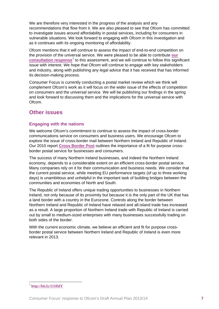We are therefore very interested in the progress of the analysis and any recommendations that flow from it. We are also pleased to see that Ofcom has committed to investigate issues around affordability in postal services, including for consumers in vulnerable situations. We look forward to engaging with Ofcom in this investigation and as it continues with its ongoing monitoring of affordability.

Ofcom mentions that it will continue to assess the impact of end-to-end competition on the provision of the universal service. We were pleased to be able to contribute **[our](http://www.consumerfocus.org.uk/files/2009/06/Consumer-Focus-response-to-Ofcoms-Consultation-on-End-to-End-Competition-in-the-UK-Postal-Sector.pdf)  [consultation response](http://www.consumerfocus.org.uk/files/2009/06/Consumer-Focus-response-to-Ofcoms-Consultation-on-End-to-End-Competition-in-the-UK-Postal-Sector.pdf)**[7](#page-6-1) to this assessment, and we will continue to follow this significant issue with interest. We hope that Ofcom will continue to engage with key stakeholders and industry, along with publishing any legal advice that it has received that has informed its decision-making process.

Consumer Focus is currently conducting a postal market review which we think will complement Ofcom's work as it will focus on the wider issue of the effects of competition on consumers and the universal service. We will be publishing our findings in the spring and look forward to discussing them and the implications for the universal service with Ofcom.

## <span id="page-6-0"></span>**Other issues**

#### **Engaging with the nations**

We welcome Ofcom's commitment to continue to assess the impact of cross-border communications service on consumers and business users. We encourage Ofcom to explore the issue of cross-border mail between Northern Ireland and Republic of Ireland. Our 2010 report **[Cross Border Post](http://www.consumerfocus.org.uk/northern-ireland/publications/cross-border-post-improving-mail-services-between-northern-ireland-and-the-republic-of-ireland)** outlines the importance of a fit for purpose crossborder postal service for businesses and consumers.

The success of many Northern Ireland businesses, and indeed the Northern Ireland economy, depends to a considerable extent on an efficient cross-border postal service. Many companies rely on it for their communication and business needs. We consider that the current postal service, while meeting EU performance targets (of up to three working days) is unambitious and unhelpful in the important task of building bridges between the communities and economies of North and South.

The Republic of Ireland offers unique trading opportunities to businesses in Northern Ireland, not only because of its proximity but because it is the only part of the UK that has a land border with a country in the Eurozone. Controls along the border between Northern Ireland and Republic of Ireland have relaxed and all-island trade has increased as a result. A large proportion of Northern Ireland trade with Republic of Ireland is carried out by small to medium-sized enterprises with many businesses successfully trading on both sides of the border.

With the current economic climate, we believe an efficient and fit for purpose crossborder postal service between Northern Ireland and Republic of Ireland is even more relevant in 2013.

<span id="page-6-1"></span> <sup>7</sup> **<http://bit.ly/11SfidY>**

Consumer Focus' response to Ofcom's Draft Annual Plan 2013/14 **7**